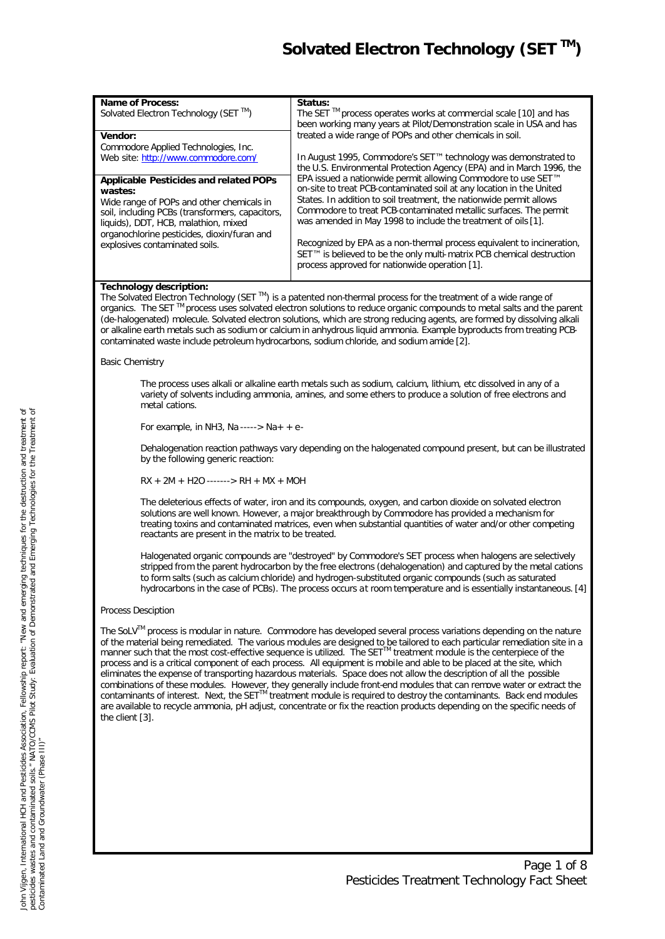# *Solvated Electron Technology (SET TM)*

| <b>Name of Process:</b><br>Solvated Electron Technology (SET ™)                                                                                                                                                  | Status:<br>The SET ™ process operates works at commercial scale [10] and has<br>been working many years at Pilot/Demonstration scale in USA and has                                                                                          |  |  |  |
|------------------------------------------------------------------------------------------------------------------------------------------------------------------------------------------------------------------|----------------------------------------------------------------------------------------------------------------------------------------------------------------------------------------------------------------------------------------------|--|--|--|
| Vendor:                                                                                                                                                                                                          | treated a wide range of POPs and other chemicals in soil.                                                                                                                                                                                    |  |  |  |
| Commodore Applied Technologies, Inc.<br>Web site: http://www.commodore.com/                                                                                                                                      | In August 1995, Commodore's SET™ technology was demonstrated to                                                                                                                                                                              |  |  |  |
|                                                                                                                                                                                                                  | the U.S. Environmental Protection Agency (EPA) and in March 1996, the                                                                                                                                                                        |  |  |  |
| <b>Applicable Pesticides and related POPs</b>                                                                                                                                                                    | EPA issued a nationwide permit allowing Commodore to use SET <sup>™</sup>                                                                                                                                                                    |  |  |  |
| wastes:                                                                                                                                                                                                          | on-site to treat PCB-contaminated soil at any location in the United                                                                                                                                                                         |  |  |  |
| Wide range of POPs and other chemicals in                                                                                                                                                                        | States. In addition to soil treatment, the nationwide permit allows                                                                                                                                                                          |  |  |  |
| soil, including PCBs (transformers, capacitors,                                                                                                                                                                  | Commodore to treat PCB-contaminated metallic surfaces. The permit<br>was amended in May 1998 to include the treatment of oils [1].                                                                                                           |  |  |  |
| liquids), DDT, HCB, malathion, mixed<br>organochlorine pesticides, dioxin/furan and                                                                                                                              |                                                                                                                                                                                                                                              |  |  |  |
| explosives contaminated soils.                                                                                                                                                                                   | Recognized by EPA as a non-thermal process equivalent to incineration,                                                                                                                                                                       |  |  |  |
|                                                                                                                                                                                                                  | SET™ is believed to be the only multi-matrix PCB chemical destruction                                                                                                                                                                        |  |  |  |
|                                                                                                                                                                                                                  | process approved for nationwide operation [1].                                                                                                                                                                                               |  |  |  |
| Technology description:                                                                                                                                                                                          |                                                                                                                                                                                                                                              |  |  |  |
|                                                                                                                                                                                                                  | The Solvated Electron Technology (SET ™) is a patented non-thermal process for the treatment of a wide range of                                                                                                                              |  |  |  |
|                                                                                                                                                                                                                  | organics. The SET™ process uses solvated electron solutions to reduce organic compounds to metal salts and the parent                                                                                                                        |  |  |  |
|                                                                                                                                                                                                                  | (de-halogenated) molecule. Solvated electron solutions, which are strong reducing agents, are formed by dissolving alkali                                                                                                                    |  |  |  |
| contaminated waste include petroleum hydrocarbons, sodium chloride, and sodium amide [2].                                                                                                                        | or alkaline earth metals such as sodium or calcium in anhydrous liquid ammonia. Example byproducts from treating PCB-                                                                                                                        |  |  |  |
|                                                                                                                                                                                                                  |                                                                                                                                                                                                                                              |  |  |  |
| <b>Basic Chemistry</b>                                                                                                                                                                                           |                                                                                                                                                                                                                                              |  |  |  |
|                                                                                                                                                                                                                  | The process uses alkali or alkaline earth metals such as sodium, calcium, lithium, etc dissolved in any of a                                                                                                                                 |  |  |  |
| metal cations.                                                                                                                                                                                                   | variety of solvents including ammonia, amines, and some ethers to produce a solution of free electrons and                                                                                                                                   |  |  |  |
|                                                                                                                                                                                                                  |                                                                                                                                                                                                                                              |  |  |  |
| For example, in NH3, Na -----> Na + + e-                                                                                                                                                                         |                                                                                                                                                                                                                                              |  |  |  |
|                                                                                                                                                                                                                  | Dehalogenation reaction pathways vary depending on the halogenated compound present, but can be illustrated                                                                                                                                  |  |  |  |
| by the following generic reaction:                                                                                                                                                                               |                                                                                                                                                                                                                                              |  |  |  |
| $RX + 2M + H2O$ -------> $RH + MX + MOH$                                                                                                                                                                         |                                                                                                                                                                                                                                              |  |  |  |
| The deleterious effects of water, iron and its compounds, oxygen, and carbon dioxide on solvated electron                                                                                                        |                                                                                                                                                                                                                                              |  |  |  |
| solutions are well known. However, a major breakthrough by Commodore has provided a mechanism for<br>treating toxins and contaminated matrices, even when substantial quantities of water and/or other competing |                                                                                                                                                                                                                                              |  |  |  |
| reactants are present in the matrix to be treated.                                                                                                                                                               |                                                                                                                                                                                                                                              |  |  |  |
|                                                                                                                                                                                                                  |                                                                                                                                                                                                                                              |  |  |  |
|                                                                                                                                                                                                                  | Halogenated organic compounds are "destroyed" by Commodore's SET process when halogens are selectively<br>stripped from the parent hydrocarbon by the free electrons (dehalogenation) and captured by the metal cations                      |  |  |  |
|                                                                                                                                                                                                                  | to form salts (such as calcium chloride) and hydrogen-substituted organic compounds (such as saturated                                                                                                                                       |  |  |  |
|                                                                                                                                                                                                                  | hydrocarbons in the case of PCBs). The process occurs at room temperature and is essentially instantaneous. [4]                                                                                                                              |  |  |  |
| <b>Process Desciption</b>                                                                                                                                                                                        |                                                                                                                                                                                                                                              |  |  |  |
|                                                                                                                                                                                                                  | The SoLV™ process is modular in nature. Commodore has developed several process variations depending on the nature                                                                                                                           |  |  |  |
|                                                                                                                                                                                                                  | of the material being remediated. The various modules are designed to be tailored to each particular remediation site in a                                                                                                                   |  |  |  |
|                                                                                                                                                                                                                  | manner such that the most cost-effective sequence is utilized. The SET™ treatment module is the centerpiece of the                                                                                                                           |  |  |  |
|                                                                                                                                                                                                                  | process and is a critical component of each process. All equipment is mobile and able to be placed at the site, which                                                                                                                        |  |  |  |
|                                                                                                                                                                                                                  | eliminates the expense of transporting hazardous materials. Space does not allow the description of all the possible                                                                                                                         |  |  |  |
|                                                                                                                                                                                                                  | combinations of these modules. However, they generally include front-end modules that can remove water or extract the<br>contaminants of interest. Next, the SET™ treatment module is required to destroy the contaminants. Back end modules |  |  |  |
|                                                                                                                                                                                                                  | are available to recycle ammonia, pH adjust, concentrate or fix the reaction products depending on the specific needs of                                                                                                                     |  |  |  |
| the client $[3]$ .                                                                                                                                                                                               |                                                                                                                                                                                                                                              |  |  |  |
|                                                                                                                                                                                                                  |                                                                                                                                                                                                                                              |  |  |  |
|                                                                                                                                                                                                                  |                                                                                                                                                                                                                                              |  |  |  |
|                                                                                                                                                                                                                  |                                                                                                                                                                                                                                              |  |  |  |
|                                                                                                                                                                                                                  |                                                                                                                                                                                                                                              |  |  |  |
|                                                                                                                                                                                                                  |                                                                                                                                                                                                                                              |  |  |  |
|                                                                                                                                                                                                                  |                                                                                                                                                                                                                                              |  |  |  |
|                                                                                                                                                                                                                  |                                                                                                                                                                                                                                              |  |  |  |
|                                                                                                                                                                                                                  |                                                                                                                                                                                                                                              |  |  |  |
|                                                                                                                                                                                                                  | Page 1 of 8                                                                                                                                                                                                                                  |  |  |  |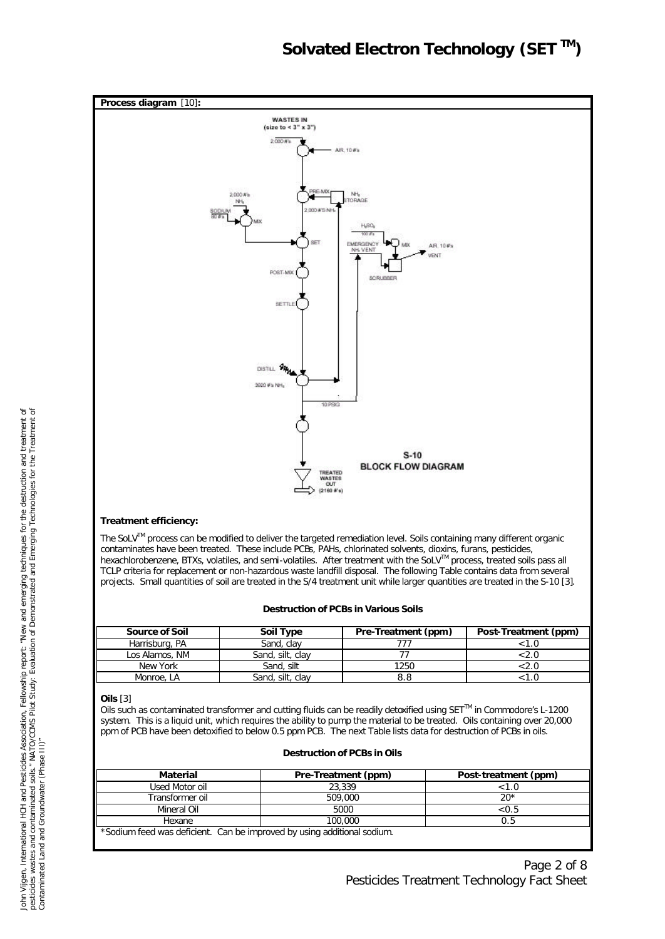

### **Treatment efficiency:**

The SoLV™ process can be modified to deliver the targeted remediation level. Soils containing many different organic contaminates have been treated. These include PCBs, PAHs, chlorinated solvents, dioxins, furans, pesticides, hexachlorobenzene, BTXs, volatiles, and semi-volatiles. After treatment with the SoLV™ process, treated soils pass all TCLP criteria for replacement or non-hazardous waste landfill disposal. The following Table contains data from several projects. Small quantities of soil are treated in the S/4 treatment unit while larger quantities are treated in the S-10 [3].

#### **Destruction of PCBs in Various Soils**

| <b>Source of Soil</b> | <b>Soil Type</b> | Pre-Treatment (ppm) | Post-Treatment (ppm) |
|-----------------------|------------------|---------------------|----------------------|
| Harrisburg, PA        | Sand, clav       |                     |                      |
| Los Alamos, NM        | Sand, silt, clav |                     |                      |
| New York              | Sand, silt       | 1250                | Z.U                  |
| Monroe, LA            | Sand, silt, clav |                     |                      |

#### **Oils** [3]

Oils such as contaminated transformer and cutting fluids can be readily detoxified using SETTM in Commodore's L-1200 system. This is a liquid unit, which requires the ability to pump the material to be treated. Oils containing over 20,000 ppm of PCB have been detoxified to below 0.5 ppm PCB. The next Table lists data for destruction of PCBs in oils.

### **Destruction of PCBs in Oils**

| Material                                                                | Pre-Treatment (ppm) | Post-treatment (ppm) |  |  |
|-------------------------------------------------------------------------|---------------------|----------------------|--|--|
| Used Motor oil                                                          | 23,339              | < 1.0                |  |  |
| Transformer oil                                                         | 509,000             | $20*$                |  |  |
| Mineral Oil                                                             | 5000                | ${<}0.5$             |  |  |
| Hexane                                                                  | 100,000             |                      |  |  |
| *Sodium feed was deficient. Can be improved by using additional sodium. |                     |                      |  |  |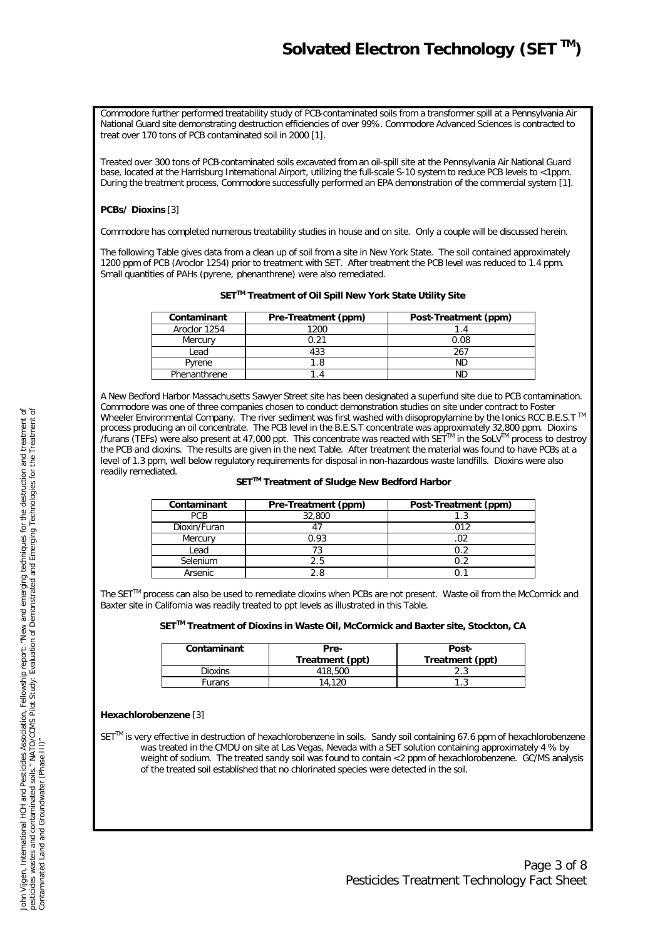# *Solvated Electron Technology (SET TM)*

Commodore further performed treatability study of PCB-contaminated soils from a transformer spill at a Pennsylvania Air National Guard site demonstrating destruction efficiencies of over 99%. Commodore Advanced Sciences is contracted to treat over 170 tons of PCB contaminated soil in 2000 [1].

Treated over 300 tons of PCB-contaminated soils excavated from an oil-spill site at the Pennsylvania Air National Guard base, located at the Harrisburg International Airport, utilizing the full-scale S-10 system to reduce PCB levels to <1ppm. During the treatment process, Commodore successfully performed an EPA demonstration of the commercial system [1].

# **PCBs/ Dioxins** [3]

Commodore has completed numerous treatability studies in house and on site. Only a couple will be discussed herein.

The following Table gives data from a clean up of soil from a site in New York State. The soil contained approximately 1200 ppm of PCB (Aroclor 1254) prior to treatment with SET. After treatment the PCB level was reduced to 1.4 ppm. Small quantities of PAHs (pyrene, phenanthrene) were also remediated.

| Contaminant  | Pre-Treatment (ppm) | Post-Treatment (ppm) |
|--------------|---------------------|----------------------|
| Aroclor 1254 | 1200                |                      |
| Mercury      | 0.21                | 0.08                 |
| Lead         | 433                 | 267                  |
| Pyrene       | -8                  | ΝD                   |
| Phenanthrene |                     |                      |

A New Bedford Harbor Massachusetts Sawyer Street site has been designated a superfund site due to PCB contamination. Commodore was one of three companies chosen to conduct demonstration studies on site under contract to Foster Wheeler Environmental Company. The river sediment was first washed with diisopropylamine by the Ionics RCC B.E.S.T ™ process producing an oil concentrate. The PCB level in the B.E.S.T concentrate was approximately 32,800 ppm. Dioxins /furans (TEFs) were also present at 47,000 ppt. This concentrate was reacted with SETTM in the SoLVTM process to destroy the PCB and dioxins. The results are given in the next Table. After treatment the material was found to have PCBs at a level of 1.3 ppm, well below regulatory requirements for disposal in non-hazardous waste landfills. Dioxins were also readily remediated.

#### **SETTM Treatment of Sludge New Bedford Harbor**

| Contaminant  | Pre-Treatment (ppm) | Post-Treatment (ppm) |
|--------------|---------------------|----------------------|
| PCB          | 32,800              |                      |
| Dioxin/Furan |                     | በ1 ን                 |
| Mercury      | 0.93                |                      |
| Lead         |                     |                      |
| Selenium     | <sup>7</sup> .5     |                      |
| Arsenic      |                     |                      |

The SETTM process can also be used to remediate dioxins when PCBs are not present. Waste oil from the McCormick and Baxter site in California was readily treated to ppt levels as illustrated in this Table.

**SETTM Treatment of Dioxins in Waste Oil, McCormick and Baxter site, Stockton, CA**

| Contaminant | Pre-<br>Treatment (ppt) | Post-<br>Treatment (ppt) |
|-------------|-------------------------|--------------------------|
| Dioxins     | 418,500                 |                          |
| -ūrans      | 14                      |                          |

## **Hexachlorobenzene** [3]

SET<sup>™</sup> is very effective in destruction of hexachlorobenzene in soils. Sandy soil containing 67.6 ppm of hexachlorobenzene was treated in the CMDU on site at Las Vegas, Nevada with a SET solution containing approximately 4 % by weight of sodium. The treated sandy soil was found to contain <2 ppm of hexachlorobenzene. GC/MS analysis of the treated soil established that no chlorinated species were detected in the soil.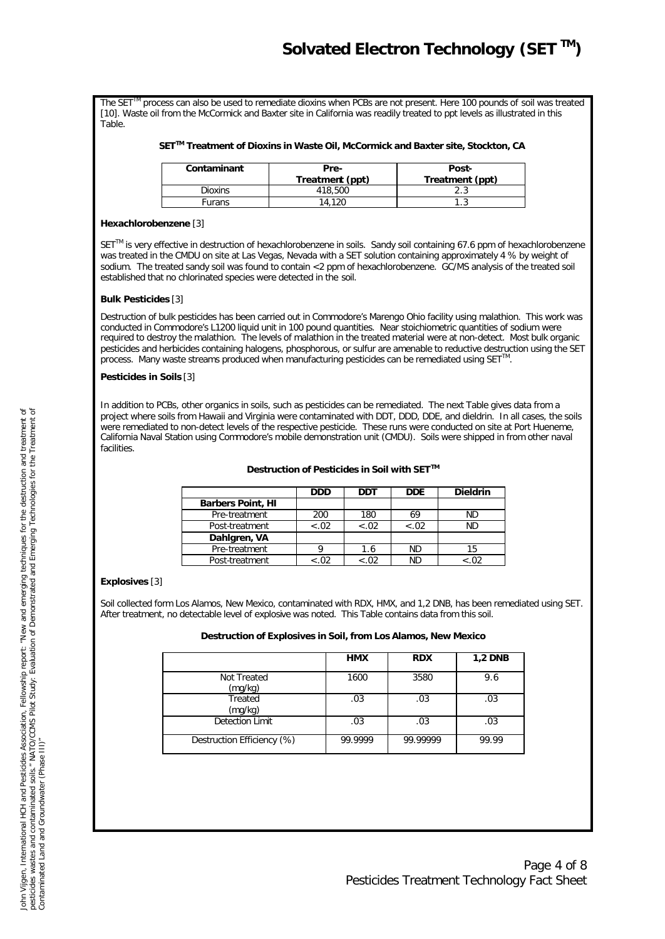The SET<sup>TM</sup> process can also be used to remediate dioxins when PCBs are not present. Here 100 pounds of soil was treated [10]. Waste oil from the McCormick and Baxter site in California was readily treated to ppt levels as illustrated in this Table.

## **SETTM Treatment of Dioxins in Waste Oil, McCormick and Baxter site, Stockton, CA**

| Contaminant | Pre-<br>Treatment (ppt) | Post-<br>Treatment (ppt) |
|-------------|-------------------------|--------------------------|
| Dioxins     | 418,500                 |                          |
| Furans      | 14.120                  |                          |

## **Hexachlorobenzene** [3]

SET<sup>™</sup> is very effective in destruction of hexachlorobenzene in soils. Sandy soil containing 67.6 ppm of hexachlorobenzene was treated in the CMDU on site at Las Vegas, Nevada with a SET solution containing approximately 4 % by weight of sodium. The treated sandy soil was found to contain <2 ppm of hexachlorobenzene. GC/MS analysis of the treated soil established that no chlorinated species were detected in the soil.

## **Bulk Pesticides** [3]

Destruction of bulk pesticides has been carried out in Commodore's Marengo Ohio facility using malathion. This work was conducted in Commodore's L1200 liquid unit in 100 pound quantities. Near stoichiometric quantities of sodium were required to destroy the malathion. The levels of malathion in the treated material were at non-detect. Most bulk organic pesticides and herbicides containing halogens, phosphorous, or sulfur are amenable to reductive destruction using the SET .<br>process. Many waste streams produced when manufacturing pesticides can be remediated using SET<sup>™</sup>.

### **Pesticides in Soils** [3]

In addition to PCBs, other organics in soils, such as pesticides can be remediated. The next Table gives data from a project where soils from Hawaii and Virginia were contaminated with DDT, DDD, DDE, and dieldrin. In all cases, the soils were remediated to non-detect levels of the respective pesticide. These runs were conducted on site at Port Hueneme, California Naval Station using Commodore's mobile demonstration unit (CMDU). Soils were shipped in from other naval facilities.

### **Destruction of Pesticides in Soil with SETTM**

|                          | <b>DDD</b> | DDT    | <b>DDE</b> | <b>Dieldrin</b> |
|--------------------------|------------|--------|------------|-----------------|
| <b>Barbers Point, HI</b> |            |        |            |                 |
| Pre-treatment            | 200        | 180    | 69         | <b>ND</b>       |
| Post-treatment           | $-.02$     | $-.02$ | $-.02$     | <b>ND</b>       |
| Dahlgren, VA             |            |        |            |                 |
| Pre-treatment            |            | 1.6    | <b>ND</b>  |                 |
| Post-treatment           |            | < 0.02 | ΝD         |                 |

# **Explosives** [3]

Soil collected form Los Alamos, New Mexico, contaminated with RDX, HMX, and 1,2 DNB, has been remediated using SET. After treatment, no detectable level of explosive was noted. This Table contains data from this soil.

**Destruction of Explosives in Soil, from Los Alamos, New Mexico**

|                            | <b>HMX</b> | <b>RDX</b> | <b>1,2 DNB</b> |
|----------------------------|------------|------------|----------------|
| Not Treated<br>(mg/kg)     | 1600       | 3580       | 9.6            |
| Treated<br>(mg/kg)         | .03        | .03        | .03            |
| Detection Limit            | .03        | .03        | .03            |
| Destruction Efficiency (%) | 99.9999    | 99.99999   | 99.99          |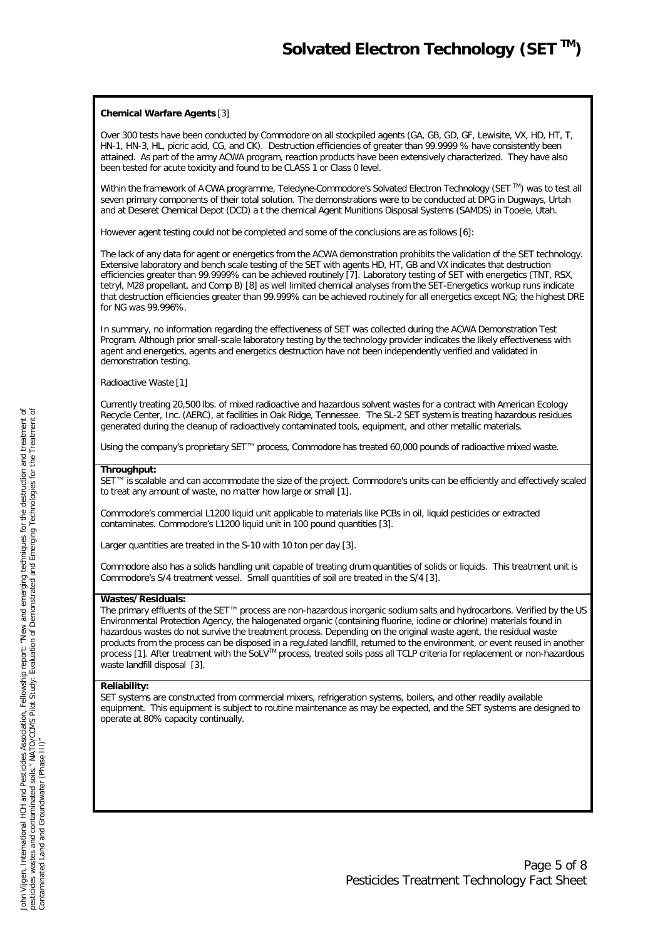## **Chemical Warfare Agents** [3]

Over 300 tests have been conducted by Commodore on all stockpiled agents (GA, GB, GD, GF, Lewisite, VX, HD, HT, T, HN-1, HN-3, HL, picric acid, CG, and CK). Destruction efficiencies of greater than 99.9999 % have consistently been attained. As part of the army ACWA program, reaction products have been extensively characterized. They have also been tested for acute toxicity and found to be CLASS 1 or Class 0 level.

Within the framework of A CWA programme, Teledyne-Commodore's Solvated Electron Technology (SET ™) was to test all seven primary components of their total solution. The demonstrations were to be conducted at DPG in Dugways, Urtah and at Deseret Chemical Depot (DCD) a t the chemical Agent Munitions Disposal Systems (SAMDS) in Tooele, Utah.

However agent testing could not be completed and some of the conclusions are as follows [6]:

The lack of any data for agent or energetics from the ACWA demonstration prohibits the validation of the SET technology. Extensive laboratory and bench scale testing of the SET with agents HD, HT, GB and VX indicates that destruction efficiencies greater than 99.9999% can be achieved routinely [7]. Laboratory testing of SET with energetics (TNT, RSX, tetryl, M28 propellant, and Comp B) [8] as well limited chemical analyses from the SET-Energetics workup runs indicate that destruction efficiencies greater than 99.999% can be achieved routinely for all energetics except NG; the highest DRE for NG was 99.996%.

In summary, no information regarding the effectiveness of SET was collected during the ACWA Demonstration Test Program. Although prior small-scale laboratory testing by the technology provider indicates the likely effectiveness with agent and energetics, agents and energetics destruction have not been independently verified and validated in demonstration testing.

Radioactive Waste [1]

Currently treating 20,500 lbs. of mixed radioactive and hazardous solvent wastes for a contract with American Ecology Recycle Center, Inc. (AERC), at facilities in Oak Ridge, Tennessee. The SL-2 SET system is treating hazardous residues generated during the cleanup of radioactively contaminated tools, equipment, and other metallic materials.

Using the company's proprietary SET™ process, Commodore has treated 60,000 pounds of radioactive mixed waste.

## **Throughput:**

SET™ is *scalable* and can accommodate the size of the project. Commodore's units can be efficiently and effectively scaled to treat any amount of waste, no matter how large or small [1].

Commodore's commercial L1200 liquid unit applicable to materials like PCBs in oil, liquid pesticides or extracted contaminates. Commodore's L1200 liquid unit in 100 pound quantities [3].

Larger quantities are treated in the S-10 with 10 ton per day [3].

Commodore also has a solids handling unit capable of treating drum quantities of solids or liquids. This treatment unit is Commodore's S/4 treatment vessel. Small quantities of soil are treated in the S/4 [3].

#### **Wastes/Residuals:**

The primary effluents of the SET™ process are non-hazardous inorganic sodium salts and hydrocarbons. Verified by the US Environmental Protection Agency, the halogenated organic (containing fluorine, iodine or chlorine) materials found in hazardous wastes do not survive the treatment process. Depending on the original waste agent, the residual waste products from the process can be disposed in a regulated landfill, returned to the environment, or event reused in another process [1]. After treatment with the SoLV™ process, treated soils pass all TCLP criteria for replacement or non-hazardous waste landfill disposal [3].

#### **Reliability:**

SET systems are constructed from commercial mixers, refrigeration systems, boilers, and other readily available equipment. This equipment is subject to routine maintenance as may be expected, and the SET systems are designed to operate at 80% capacity continually.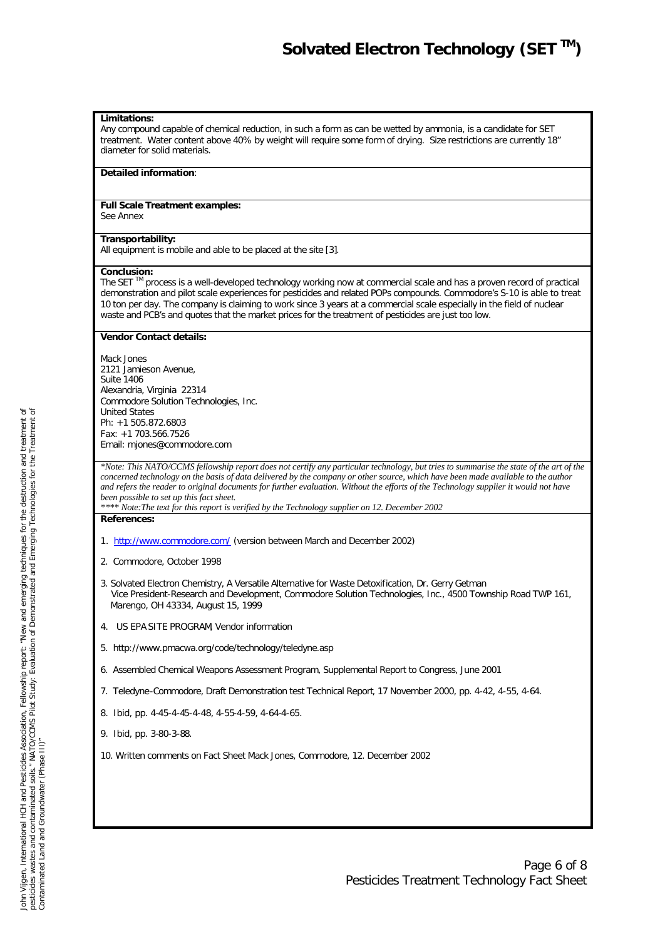#### **Limitations:**

Any compound capable of chemical reduction, in such a form as can be wetted by ammonia, is a candidate for SET treatment. Water content above 40% by weight will require some form of drying. Size restrictions are currently 18" diameter for solid materials.

#### **Detailed information**:

## **Full Scale Treatment examples:**

See Annex

### **Transportability:**

All equipment is mobile and able to be placed at the site [3].

#### **Conclusion:**

The SET<sup>™</sup> process is a well-developed technology working now at commercial scale and has a proven record of practical demonstration and pilot scale experiences for pesticides and related POPs compounds. Commodore's S-10 is able to treat 10 ton per day. The company is claiming to work since 3 years at a commercial scale especially in the field of nuclear waste and PCB's and quotes that the market prices for the treatment of pesticides are just too low.

#### **Vendor Contact details:**

Mack Jones 2121 Jamieson Avenue, Suite 1406 Alexandria, Virginia 22314 Commodore Solution Technologies, Inc. United States Ph: +1 505.872.6803 Fax: +1 703.566.7526 Email: mjones@commodore.com

*\*Note: This NATO/CCMS fellowship report does not certify any particular technology, but tries to summarise the state of the art of the concerned technology on the basis of data delivered by the company or other source, which have been made available to the author and refers the reader to original documents for further evaluation. Without the efforts of the Technology supplier it would not have been possible to set up this fact sheet.*

*\*\*\*\* Note:The text for this report is verified by the Technology supplier on 12. December 2002*

# **References:**

- 1. http://www.commodore.com/ (version between March and December 2002)
- 2. Commodore, October 1998
- 3. Solvated Electron Chemistry, A Versatile Alternative for Waste Detoxification, Dr. Gerry Getman Vice President-Research and Development, Commodore Solution Technologies, Inc., 4500 Township Road TWP 161, Marengo, OH 43334, August 15, 1999
- 4. US EPA SITE PROGRAM, Vendor information
- 5. http://www.pmacwa.org/code/technology/teledyne.asp
- 6. Assembled Chemical Weapons Assessment Program, Supplemental Report to Congress, June 2001
- 7. Teledyne-Commodore, *Draft Demonstration test Technical Report*, 17 November 2000, pp. 4-42, 4-55, 4-64.
- 8. Ibid, pp. 4-45-4-45-4-48, 4-55-4-59, 4-64-4-65.
- 9. Ibid, pp. 3-80-3-88.
- 10. Written comments on Fact Sheet Mack Jones, Commodore, 12. December 2002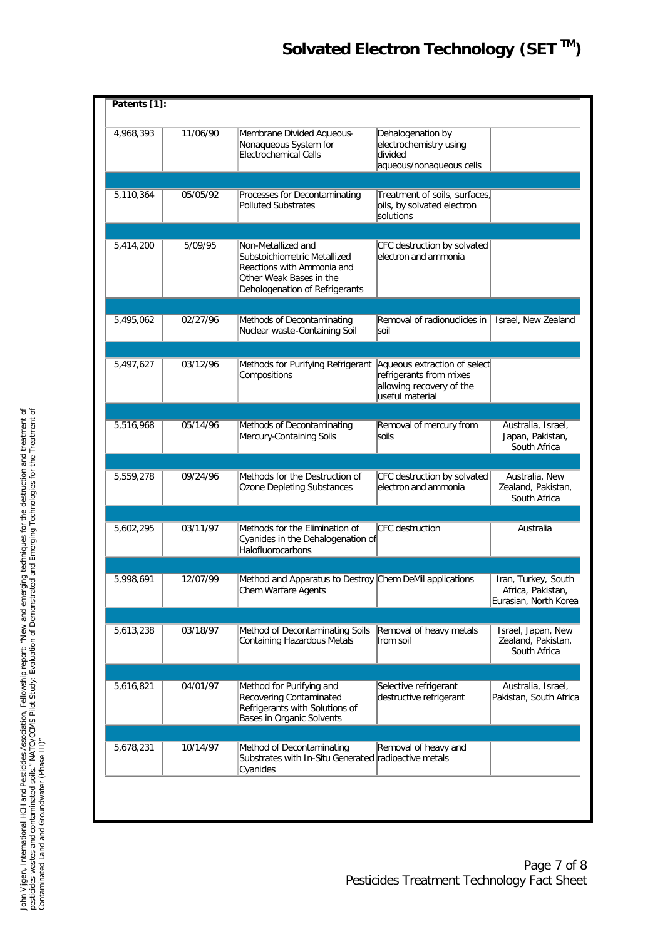| 4,968,393              | 11/06/90 | Membrane Divided Aqueous-<br>Nonaqueous System for<br>Electrochemical Cells                                                                   | Dehalogenation by<br>electrochemistry using<br>divided<br>aqueous/nonaqueous cells                     |                                                                   |
|------------------------|----------|-----------------------------------------------------------------------------------------------------------------------------------------------|--------------------------------------------------------------------------------------------------------|-------------------------------------------------------------------|
| 5,110,364              | 05/05/92 | Processes for Decontaminating<br><b>Polluted Substrates</b>                                                                                   | Treatment of soils, surfaces<br>oils, by solvated electron<br>solutions                                |                                                                   |
|                        |          |                                                                                                                                               |                                                                                                        |                                                                   |
| 5,414,200              | 5/09/95  | Non-Metallized and<br>Substoichiometric Metallized<br>Reactions with Ammonia and<br>Other Weak Bases in the<br>Dehologenation of Refrigerants | CFC destruction by solvated<br>lelectron and ammonia                                                   |                                                                   |
|                        |          |                                                                                                                                               |                                                                                                        |                                                                   |
| $\overline{5,495,062}$ | 02/27/96 | Methods of Decontaminating<br>Nuclear waste-Containing Soil                                                                                   | Removal of radionuclides in<br>soil                                                                    | Israel, New Zealand                                               |
|                        |          |                                                                                                                                               |                                                                                                        |                                                                   |
| 5,497,627              | 03/12/96 | Methods for Purifying Refrigerant<br>Compositions                                                                                             | Aqueous extraction of select<br>refrigerants from mixes<br>allowing recovery of the<br>useful material |                                                                   |
|                        |          |                                                                                                                                               |                                                                                                        |                                                                   |
| 5,516,968              | 05/14/96 | Methods of Decontaminating<br>Mercury-Containing Soils                                                                                        | Removal of mercury from<br>soils                                                                       | Australia, Israel,<br>Japan, Pakistan,<br>South Africa            |
|                        |          |                                                                                                                                               |                                                                                                        |                                                                   |
| 5,559,278              | 09/24/96 | Methods for the Destruction of<br>Ozone Depleting Substances                                                                                  | CFC destruction by solvated<br>electron and ammonia                                                    | Australia, New<br>Zealand, Pakistan,<br>South Africa              |
|                        |          |                                                                                                                                               |                                                                                                        |                                                                   |
| 5,602,295              | 03/11/97 | Methods for the Elimination of<br>Cyanides in the Dehalogenation of<br>Halofluorocarbons                                                      | CFC destruction                                                                                        | Australia                                                         |
|                        |          |                                                                                                                                               |                                                                                                        |                                                                   |
| 5,998,691              | 12/07/99 | Method and Apparatus to Destroy Chem DeMil applications<br>Chem Warfare Agents                                                                |                                                                                                        | Iran, Turkey, South<br>Africa, Pakistan,<br>Eurasian, North Korea |
|                        |          |                                                                                                                                               |                                                                                                        |                                                                   |
| 5,613,238              | 03/18/97 | Method of Decontaminating Soils<br>Containing Hazardous Metals                                                                                | Removal of heavy metals<br>from soil                                                                   | Israel, Japan, New<br>Zealand, Pakistan,<br>South Africa          |
|                        |          |                                                                                                                                               |                                                                                                        |                                                                   |
| 5,616,821              | 04/01/97 | Method for Purifying and<br>Recovering Contaminated<br>Refrigerants with Solutions of<br>Bases in Organic Solvents                            | Selective refrigerant<br>destructive refrigerant                                                       | Australia, Israel,<br>Pakistan, South Africa                      |
|                        |          |                                                                                                                                               |                                                                                                        |                                                                   |
| 5,678,231              | 10/14/97 | Method of Decontaminating<br>Substrates with In-Situ Generated radioactive metals<br>Cyanides                                                 | Removal of heavy and                                                                                   |                                                                   |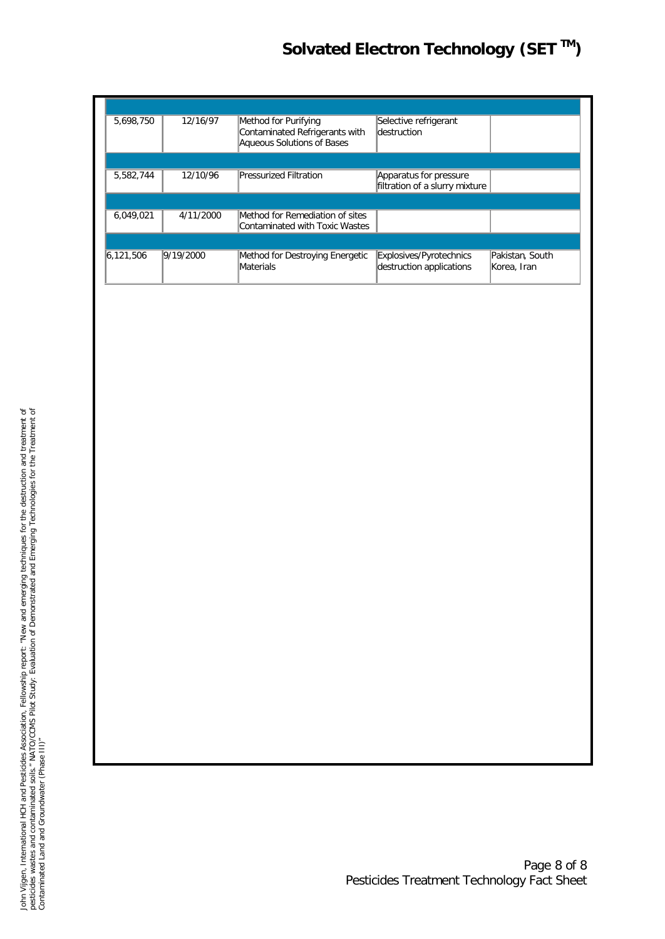# *Solvated Electron Technology (SET TM)*

| 5,698,750 | 12/16/97  | Method for Purifying<br>Contaminated Refrigerants with<br>Aqueous Solutions of Bases | Selective refrigerant<br><b>destruction</b>              |                                |
|-----------|-----------|--------------------------------------------------------------------------------------|----------------------------------------------------------|--------------------------------|
|           |           |                                                                                      |                                                          |                                |
| 5,582,744 | 12/10/96  | <b>Pressurized Filtration</b>                                                        | Apparatus for pressure<br>filtration of a slurry mixture |                                |
|           |           |                                                                                      |                                                          |                                |
| 6,049,021 | 4/11/2000 | Method for Remediation of sites<br>Contaminated with Toxic Wastes                    |                                                          |                                |
|           |           |                                                                                      |                                                          |                                |
| 6.121.506 | 9/19/2000 | Method for Destroying Energetic<br>Materials                                         | Explosives/Pyrotechnics<br>destruction applications      | Pakistan, South<br>Korea, Iran |

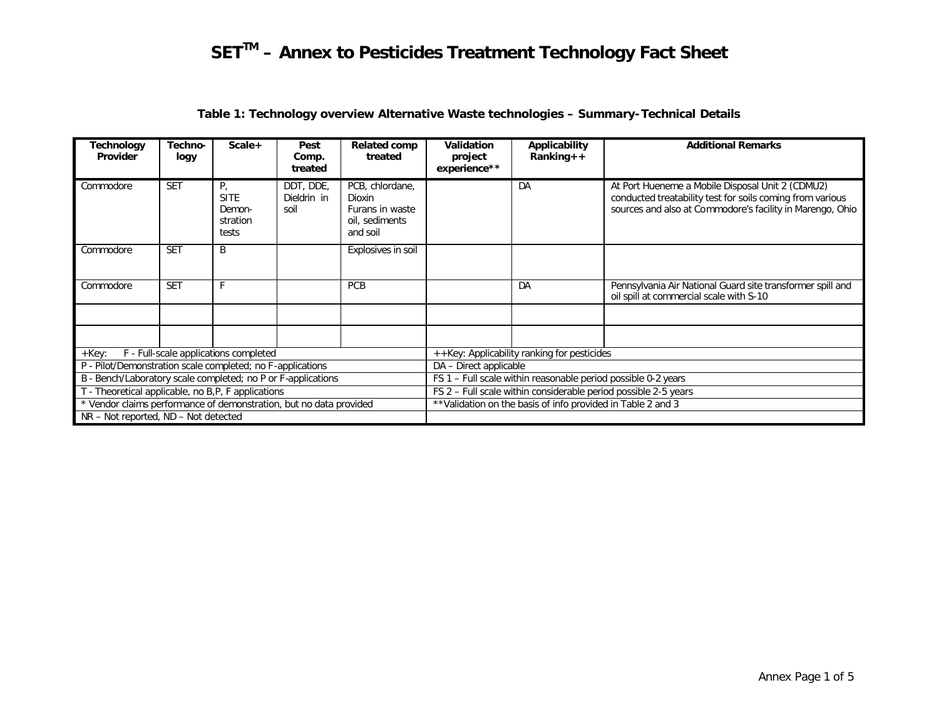| Technology<br>Provider                                             | Techno-<br>logy | $Scale+$                                         | Pest<br>Comp.<br>treated         | <b>Related comp</b><br>treated                                             | Validation<br>project<br>experience**                           | Applicability<br>$Ranking++$ | <b>Additional Remarks</b>                                                                                                                                                  |  |  |
|--------------------------------------------------------------------|-----------------|--------------------------------------------------|----------------------------------|----------------------------------------------------------------------------|-----------------------------------------------------------------|------------------------------|----------------------------------------------------------------------------------------------------------------------------------------------------------------------------|--|--|
| Commodore                                                          | <b>SET</b>      | Р,<br><b>SITE</b><br>Demon-<br>stration<br>tests | DDT, DDE,<br>Dieldrin in<br>soil | PCB, chlordane,<br>Dioxin<br>Furans in waste<br>oil, sediments<br>and soil |                                                                 | DA                           | At Port Hueneme a Mobile Disposal Unit 2 (CDMU2)<br>conducted treatability test for soils coming from various<br>sources and also at Commodore's facility in Marengo, Ohio |  |  |
| Commodore                                                          | <b>SET</b>      | B                                                |                                  | Explosives in soil                                                         |                                                                 |                              |                                                                                                                                                                            |  |  |
| Commodore                                                          | <b>SET</b>      |                                                  |                                  | PCB                                                                        |                                                                 | DA                           | Pennsylvania Air National Guard site transformer spill and<br>oil spill at commercial scale with S-10                                                                      |  |  |
|                                                                    |                 |                                                  |                                  |                                                                            |                                                                 |                              |                                                                                                                                                                            |  |  |
|                                                                    |                 |                                                  |                                  |                                                                            |                                                                 |                              |                                                                                                                                                                            |  |  |
| $+$ Key:                                                           |                 | F - Full-scale applications completed            |                                  |                                                                            | ++Key: Applicability ranking for pesticides                     |                              |                                                                                                                                                                            |  |  |
| P - Pilot/Demonstration scale completed; no F-applications         |                 |                                                  |                                  |                                                                            | DA - Direct applicable                                          |                              |                                                                                                                                                                            |  |  |
| B - Bench/Laboratory scale completed; no P or F-applications       |                 |                                                  |                                  |                                                                            | FS 1 – Full scale within reasonable period possible 0-2 years   |                              |                                                                                                                                                                            |  |  |
| T - Theoretical applicable, no B,P, F applications                 |                 |                                                  |                                  |                                                                            | FS 2 - Full scale within considerable period possible 2-5 years |                              |                                                                                                                                                                            |  |  |
| * Vendor claims performance of demonstration, but no data provided |                 |                                                  |                                  |                                                                            | ** Validation on the basis of info provided in Table 2 and 3    |                              |                                                                                                                                                                            |  |  |
| NR - Not reported, ND - Not detected                               |                 |                                                  |                                  |                                                                            |                                                                 |                              |                                                                                                                                                                            |  |  |

# **Table 1: Technology overview Alternative Waste technologies – Summary-Technical Details**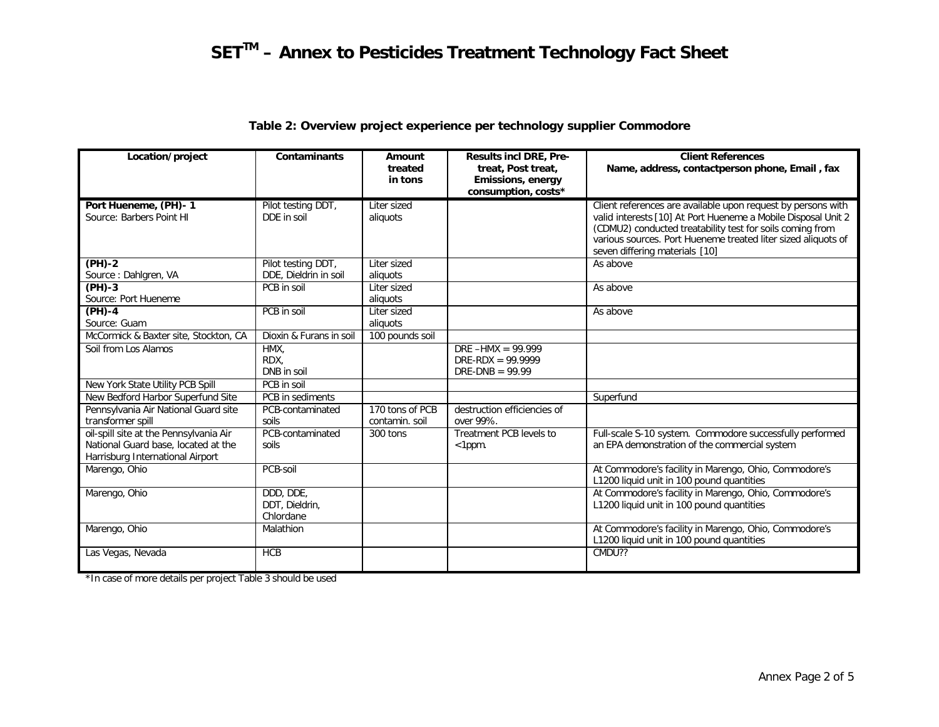| Location/project                       | <b>Contaminants</b>     | Amount             | <b>Results incl DRE, Pre-</b>           | <b>Client References</b>                                                                                                   |
|----------------------------------------|-------------------------|--------------------|-----------------------------------------|----------------------------------------------------------------------------------------------------------------------------|
|                                        |                         | treated<br>in tons | treat, Post treat,<br>Emissions, energy | Name, address, contactperson phone, Email, fax                                                                             |
|                                        |                         |                    | consumption, costs*                     |                                                                                                                            |
| Port Hueneme, (PH)-1                   | Pilot testing DDT,      | Liter sized        |                                         | Client references are available upon request by persons with                                                               |
| Source: Barbers Point HI               | DDE in soil             | aliquots           |                                         | valid interests [10] At Port Hueneme a Mobile Disposal Unit 2<br>(CDMU2) conducted treatability test for soils coming from |
|                                        |                         |                    |                                         | various sources. Port Hueneme treated liter sized aliquots of                                                              |
|                                        |                         |                    |                                         | seven differing materials [10]                                                                                             |
| $(PH)-2$                               | Pilot testing DDT,      | Liter sized        |                                         | As above                                                                                                                   |
| Source: Dahlgren, VA                   | DDE, Dieldrin in soil   | aliguots           |                                         |                                                                                                                            |
| $(PH)-3$                               | PCB in soil             | Liter sized        |                                         | As above                                                                                                                   |
| Source: Port Hueneme                   |                         | aliquots           |                                         |                                                                                                                            |
| $(PH)-4$                               | PCB in soil             | Liter sized        |                                         | As above                                                                                                                   |
| Source: Guam                           |                         | aliguots           |                                         |                                                                                                                            |
| McCormick & Baxter site, Stockton, CA  | Dioxin & Furans in soil | 100 pounds soil    |                                         |                                                                                                                            |
| Soil from Los Alamos                   | HMX.                    |                    | $DRE - HMX = 99.999$                    |                                                                                                                            |
|                                        | RDX,                    |                    | $DRE-RDX = 99.9999$                     |                                                                                                                            |
|                                        | DNB in soil             |                    | DRE-DNB = $99.99$                       |                                                                                                                            |
| New York State Utility PCB Spill       | PCB in soil             |                    |                                         |                                                                                                                            |
| New Bedford Harbor Superfund Site      | PCB in sediments        |                    |                                         | Superfund                                                                                                                  |
| Pennsylvania Air National Guard site   | PCB-contaminated        | 170 tons of PCB    | destruction efficiencies of             |                                                                                                                            |
| transformer spill                      | soils                   | contamin, soil     | over 99%.                               |                                                                                                                            |
| oil-spill site at the Pennsylvania Air | PCB-contaminated        | 300 tons           | Treatment PCB levels to                 | Full-scale S-10 system. Commodore successfully performed                                                                   |
| National Guard base, located at the    | soils                   |                    | $<$ 1 $ppm$ .                           | an EPA demonstration of the commercial system                                                                              |
| Harrisburg International Airport       |                         |                    |                                         |                                                                                                                            |
| Marengo, Ohio                          | PCB-soil                |                    |                                         | At Commodore's facility in Marengo, Ohio, Commodore's<br>L1200 liquid unit in 100 pound quantities                         |
| Marengo, Ohio                          | DDD, DDE,               |                    |                                         | At Commodore's facility in Marengo, Ohio, Commodore's                                                                      |
|                                        | DDT, Dieldrin,          |                    |                                         | L1200 liquid unit in 100 pound quantities                                                                                  |
|                                        | Chlordane               |                    |                                         |                                                                                                                            |
| Marengo, Ohio                          | Malathion               |                    |                                         | At Commodore's facility in Marengo, Ohio, Commodore's                                                                      |
|                                        |                         |                    |                                         | L1200 liquid unit in 100 pound quantities                                                                                  |
| Las Vegas, Nevada                      | <b>HCB</b>              |                    |                                         | CMDU??                                                                                                                     |
|                                        |                         |                    |                                         |                                                                                                                            |

# **Table 2: Overview project experience per technology supplier Commodore**

\*In case of more details per project Table 3 should be used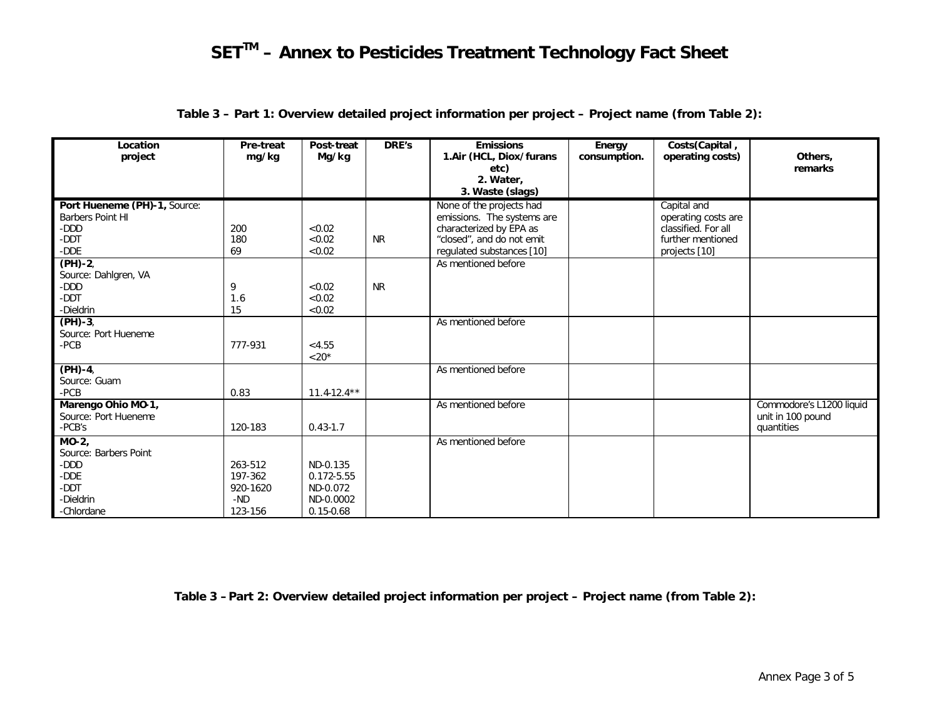| Location<br>project                                                               | Pre-treat<br>mg/kg                               | Post-treat<br>Mg/kg                                              | DRE's     | <b>Emissions</b><br>1.Air (HCL, Diox/furans<br>etc)<br>2. Water,<br>3. Waste (slags)                                                        | Energy<br>consumption. | Costs(Capital,<br>operating costs)                                                              | Others,<br>remarks                                          |
|-----------------------------------------------------------------------------------|--------------------------------------------------|------------------------------------------------------------------|-----------|---------------------------------------------------------------------------------------------------------------------------------------------|------------------------|-------------------------------------------------------------------------------------------------|-------------------------------------------------------------|
| Port Hueneme (PH)-1, Source:<br><b>Barbers Point HI</b><br>-DDD<br>-DDT<br>-DDE   | 200<br>180<br>69                                 | < 0.02<br>< 0.02<br>< 0.02                                       | <b>NR</b> | None of the projects had<br>emissions. The systems are<br>characterized by EPA as<br>"closed", and do not emit<br>regulated substances [10] |                        | Capital and<br>operating costs are<br>classified. For all<br>further mentioned<br>projects [10] |                                                             |
| $(PH)-2,$<br>Source: Dahlgren, VA<br>-DDD<br>-DDT<br>-Dieldrin                    | 9<br>1.6<br>15                                   | < 0.02<br>< 0.02<br>< 0.02                                       | <b>NR</b> | As mentioned before                                                                                                                         |                        |                                                                                                 |                                                             |
| $(PH)-3,$<br>Source: Port Hueneme<br>-PCB                                         | 777-931                                          | < 4.55<br>$<$ 20 <sup>*</sup>                                    |           | As mentioned before                                                                                                                         |                        |                                                                                                 |                                                             |
| $(PH)-4,$<br>Source: Guam<br>-PCB                                                 | 0.83                                             | $11.4 - 12.4**$                                                  |           | As mentioned before                                                                                                                         |                        |                                                                                                 |                                                             |
| Marengo Ohio MO-1,<br>Source: Port Hueneme<br>-PCB's                              | 120-183                                          | $0.43 - 1.7$                                                     |           | As mentioned before                                                                                                                         |                        |                                                                                                 | Commodore's L1200 liquid<br>unit in 100 pound<br>quantities |
| MO-2,<br>Source: Barbers Point<br>-DDD<br>-DDE<br>-DDT<br>-Dieldrin<br>-Chlordane | 263-512<br>197-362<br>920-1620<br>-ND<br>123-156 | ND-0.135<br>0.172-5.55<br>ND-0.072<br>ND-0.0002<br>$0.15 - 0.68$ |           | As mentioned before                                                                                                                         |                        |                                                                                                 |                                                             |

**Table 3 – Part 1: Overview detailed project information per project – Project name (from Table 2):**

**Table 3 –Part 2: Overview detailed project information per project – Project name (from Table 2):**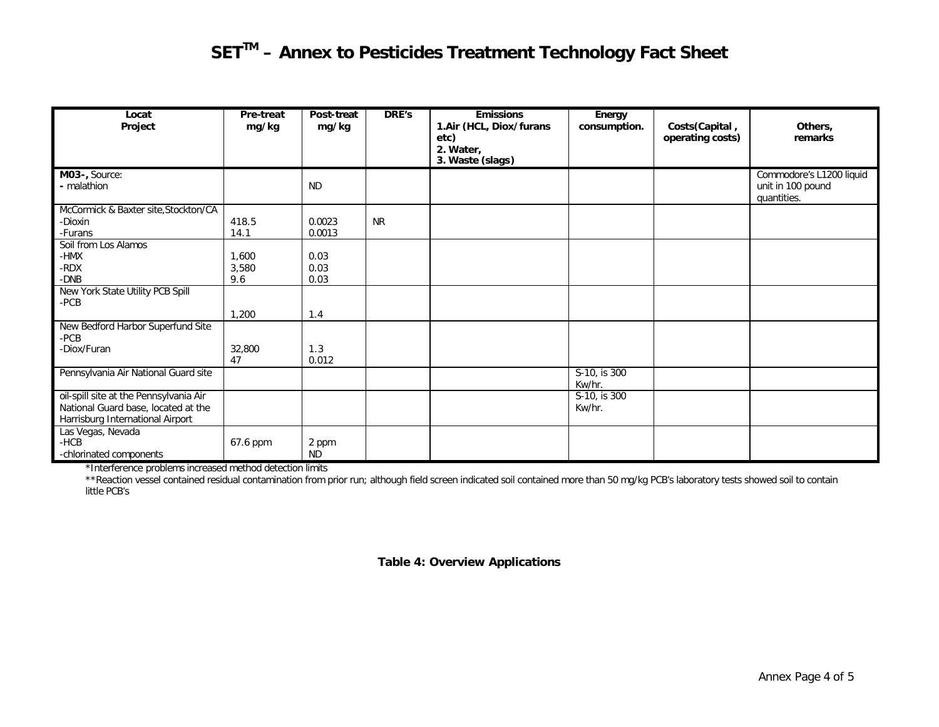| Locat<br>Project                                                                                                  | <b>Pre-treat</b><br>mg/kg | Post-treat<br>mg/kg  | DRE's     | <b>Emissions</b><br>1.Air (HCL, Diox/furans<br>etc)<br>2. Water,<br>3. Waste (slags) | Energy<br>consumption.               | Costs(Capital,<br>operating costs) | Others,<br>remarks                                           |
|-------------------------------------------------------------------------------------------------------------------|---------------------------|----------------------|-----------|--------------------------------------------------------------------------------------|--------------------------------------|------------------------------------|--------------------------------------------------------------|
| M03-, Source:<br>- malathion                                                                                      |                           | <b>ND</b>            |           |                                                                                      |                                      |                                    | Commodore's L1200 liquid<br>unit in 100 pound<br>quantities. |
| McCormick & Baxter site, Stockton/CA<br>-Dioxin<br>-Furans                                                        | 418.5<br>14.1             | 0.0023<br>0.0013     | <b>NR</b> |                                                                                      |                                      |                                    |                                                              |
| Soil from Los Alamos<br>-HMX<br>-RDX<br>-DNB                                                                      | 1,600<br>3,580<br>9.6     | 0.03<br>0.03<br>0.03 |           |                                                                                      |                                      |                                    |                                                              |
| New York State Utility PCB Spill<br>$-PCB$                                                                        | 1,200                     | 1.4                  |           |                                                                                      |                                      |                                    |                                                              |
| New Bedford Harbor Superfund Site<br>$-PCB$<br>-Diox/Furan                                                        | 32,800<br>47              | 1.3<br>0.012         |           |                                                                                      |                                      |                                    |                                                              |
| Pennsylvania Air National Guard site                                                                              |                           |                      |           |                                                                                      | S-10, is 300<br>Kw/hr.               |                                    |                                                              |
| oil-spill site at the Pennsylvania Air<br>National Guard base, located at the<br>Harrisburg International Airport |                           |                      |           |                                                                                      | $\overline{S-10}$ , is 300<br>Kw/hr. |                                    |                                                              |
| Las Vegas, Nevada<br>$-HCB$<br>-chlorinated components                                                            | 67.6 ppm                  | 2 ppm<br><b>ND</b>   |           |                                                                                      |                                      |                                    |                                                              |

\*Interference problems increased method detection limits

\*\*Reaction vessel contained residual contamination from prior run; although field screen indicated soil contained more than 50 mg/kg PCB's laboratory tests showed soil to contain little PCB's

# **Table 4: Overview Applications**